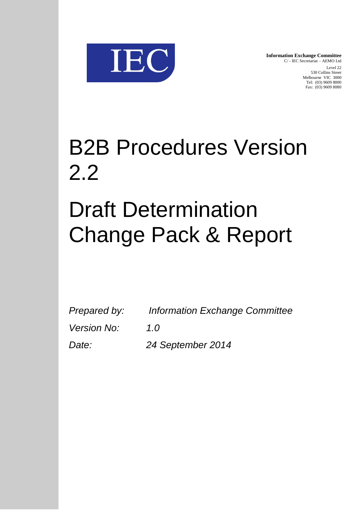

**Information Exchange Committee** C/ - IEC Secretariat – AEMO Ltd Level 22 530 Collins Street Melbourne VIC 3000 Tel: (03) 9609 8000 Fax: (03) 9609 8080

## B2B Procedures Version 2.2

# Draft Determination Change Pack & Report

| Prepared by:       | <b>Information Exchange Committee</b> |
|--------------------|---------------------------------------|
| <i>Version No:</i> | 1.0                                   |
| Date:              | 24 September 2014                     |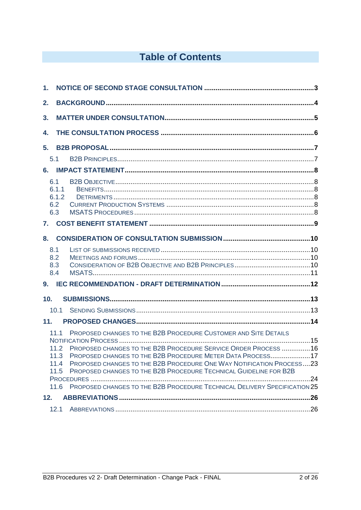## **Table of Contents**

| $\mathbf 1$ .            |                                                                                                                                                                                                                                                                                                                                                                                                                                                                  |  |
|--------------------------|------------------------------------------------------------------------------------------------------------------------------------------------------------------------------------------------------------------------------------------------------------------------------------------------------------------------------------------------------------------------------------------------------------------------------------------------------------------|--|
| 2.                       |                                                                                                                                                                                                                                                                                                                                                                                                                                                                  |  |
| 3.                       |                                                                                                                                                                                                                                                                                                                                                                                                                                                                  |  |
| 4.                       |                                                                                                                                                                                                                                                                                                                                                                                                                                                                  |  |
| 5.                       |                                                                                                                                                                                                                                                                                                                                                                                                                                                                  |  |
| 5.1                      |                                                                                                                                                                                                                                                                                                                                                                                                                                                                  |  |
| 6.                       |                                                                                                                                                                                                                                                                                                                                                                                                                                                                  |  |
| 6.1<br>6.2<br>6.3        | 6.1.1<br>6.1.2                                                                                                                                                                                                                                                                                                                                                                                                                                                   |  |
| 7.                       |                                                                                                                                                                                                                                                                                                                                                                                                                                                                  |  |
| 8.                       |                                                                                                                                                                                                                                                                                                                                                                                                                                                                  |  |
| 8.1<br>8.2<br>8.3<br>8.4 |                                                                                                                                                                                                                                                                                                                                                                                                                                                                  |  |
| 10 <sub>1</sub>          |                                                                                                                                                                                                                                                                                                                                                                                                                                                                  |  |
|                          | 10.1                                                                                                                                                                                                                                                                                                                                                                                                                                                             |  |
| 11.                      |                                                                                                                                                                                                                                                                                                                                                                                                                                                                  |  |
|                          | PROPOSED CHANGES TO THE B2B PROCEDURE CUSTOMER AND SITE DETAILS<br>11.1<br>PROPOSED CHANGES TO THE B2B PROCEDURE SERVICE ORDER PROCESS 16<br>11.2<br>11.3 PROPOSED CHANGES TO THE B2B PROCEDURE METER DATA PROCESS17<br>11.4 PROPOSED CHANGES TO THE B2B PROCEDURE ONE WAY NOTIFICATION PROCESS23<br>PROPOSED CHANGES TO THE B2B PROCEDURE TECHNICAL GUIDELINE FOR B2B<br>11.5<br>11.6 PROPOSED CHANGES TO THE B2B PROCEDURE TECHNICAL DELIVERY SPECIFICATION 25 |  |
| 12.                      |                                                                                                                                                                                                                                                                                                                                                                                                                                                                  |  |
|                          |                                                                                                                                                                                                                                                                                                                                                                                                                                                                  |  |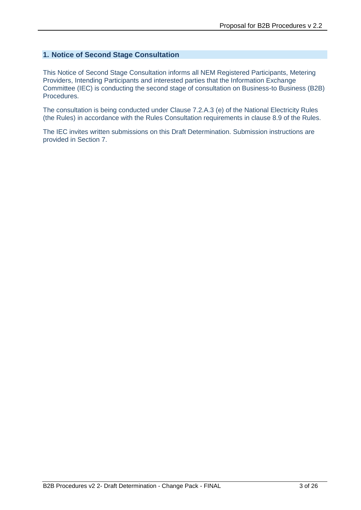#### **1. Notice of Second Stage Consultation**

This Notice of Second Stage Consultation informs all NEM Registered Participants, Metering Providers, Intending Participants and interested parties that the Information Exchange Committee (IEC) is conducting the second stage of consultation on Business-to Business (B2B) Procedures.

The consultation is being conducted under Clause 7.2.A.3 (e) of the National Electricity Rules (the Rules) in accordance with the Rules Consultation requirements in clause 8.9 of the Rules.

The IEC invites written submissions on this Draft Determination. Submission instructions are provided in Section 7.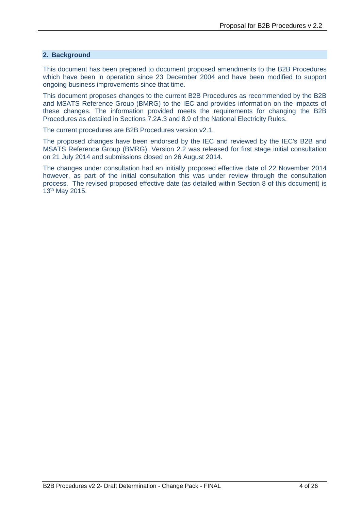#### **2. Background**

This document has been prepared to document proposed amendments to the B2B Procedures which have been in operation since 23 December 2004 and have been modified to support ongoing business improvements since that time.

This document proposes changes to the current B2B Procedures as recommended by the B2B and MSATS Reference Group (BMRG) to the IEC and provides information on the impacts of these changes. The information provided meets the requirements for changing the B2B Procedures as detailed in Sections 7.2A.3 and 8.9 of the National Electricity Rules.

The current procedures are B2B Procedures version v2.1.

The proposed changes have been endorsed by the IEC and reviewed by the IEC's B2B and MSATS Reference Group (BMRG). Version 2.2 was released for first stage initial consultation on 21 July 2014 and submissions closed on 26 August 2014.

The changes under consultation had an initially proposed effective date of 22 November 2014 however, as part of the initial consultation this was under review through the consultation process. The revised proposed effective date (as detailed within Section 8 of this document) is 13th May 2015.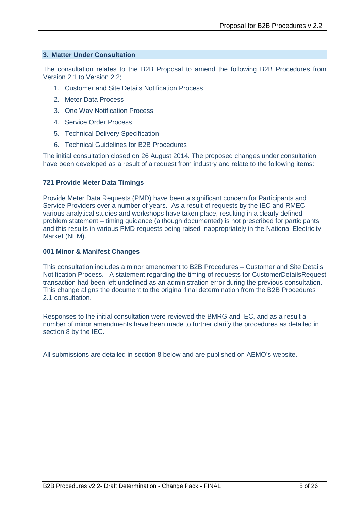#### **3. Matter Under Consultation**

The consultation relates to the B2B Proposal to amend the following B2B Procedures from Version 2.1 to Version 2.2;

- 1. Customer and Site Details Notification Process
- 2. Meter Data Process
- 3. One Way Notification Process
- 4. Service Order Process
- 5. Technical Delivery Specification
- 6. Technical Guidelines for B2B Procedures

The initial consultation closed on 26 August 2014. The proposed changes under consultation have been developed as a result of a request from industry and relate to the following items:

#### **721 Provide Meter Data Timings**

Provide Meter Data Requests (PMD) have been a significant concern for Participants and Service Providers over a number of years. As a result of requests by the IEC and RMEC various analytical studies and workshops have taken place, resulting in a clearly defined problem statement – timing guidance (although documented) is not prescribed for participants and this results in various PMD requests being raised inappropriately in the National Electricity Market (NEM).

#### **001 Minor & Manifest Changes**

This consultation includes a minor amendment to B2B Procedures – Customer and Site Details Notification Process. A statement regarding the timing of requests for CustomerDetailsRequest transaction had been left undefined as an administration error during the previous consultation. This change aligns the document to the original final determination from the B2B Procedures 2.1 consultation.

Responses to the initial consultation were reviewed the BMRG and IEC, and as a result a number of minor amendments have been made to further clarify the procedures as detailed in section 8 by the IEC.

All submissions are detailed in section 8 below and are published on AEMO's website.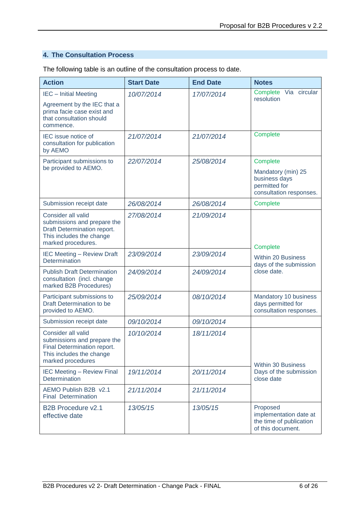### **4. The Consultation Process**

The following table is an outline of the consultation process to date.

| <b>Action</b>                                                                                                                      | <b>Start Date</b> | <b>End Date</b> | <b>Notes</b>                                                                                |
|------------------------------------------------------------------------------------------------------------------------------------|-------------------|-----------------|---------------------------------------------------------------------------------------------|
| <b>IEC</b> - Initial Meeting                                                                                                       | 10/07/2014        | 17/07/2014      | Via circular<br>Complete<br>resolution                                                      |
| Agreement by the IEC that a<br>prima facie case exist and<br>that consultation should<br>commence.                                 |                   |                 |                                                                                             |
| IEC issue notice of<br>consultation for publication<br>by AEMO                                                                     | 21/07/2014        | 21/07/2014      | Complete                                                                                    |
| Participant submissions to<br>be provided to AEMO.                                                                                 | 22/07/2014        | 25/08/2014      | Complete<br>Mandatory (min) 25<br>business days<br>permitted for<br>consultation responses. |
| Submission receipt date                                                                                                            | 26/08/2014        | 26/08/2014      | Complete                                                                                    |
| Consider all valid<br>submissions and prepare the<br>Draft Determination report.<br>This includes the change<br>marked procedures. | 27/08/2014        | 21/09/2014      | Complete                                                                                    |
| <b>IEC Meeting - Review Draft</b><br>Determination                                                                                 | 23/09/2014        | 23/09/2014      | <b>Within 20 Business</b><br>days of the submission                                         |
| <b>Publish Draft Determination</b><br>consultation (incl. change<br>marked B2B Procedures)                                         | 24/09/2014        | 24/09/2014      | close date.                                                                                 |
| Participant submissions to<br>Draft Determination to be<br>provided to AEMO.                                                       | 25/09/2014        | 08/10/2014      | Mandatory 10 business<br>days permitted for<br>consultation responses.                      |
| Submission receipt date                                                                                                            | 09/10/2014        | 09/10/2014      |                                                                                             |
| Consider all valid<br>submissions and prepare the<br>Final Determination report.<br>This includes the change<br>marked procedures  | 10/10/2014        | 18/11/2014      | <b>Within 30 Business</b>                                                                   |
| <b>IEC Meeting - Review Final</b><br>Determination                                                                                 | 19/11/2014        | 20/11/2014      | Days of the submission<br>close date                                                        |
| AEMO Publish B2B v2.1<br><b>Final Determination</b>                                                                                | 21/11/2014        | 21/11/2014      |                                                                                             |
| <b>B2B Procedure v2.1</b><br>effective date                                                                                        | 13/05/15          | 13/05/15        | Proposed<br>implementation date at<br>the time of publication<br>of this document.          |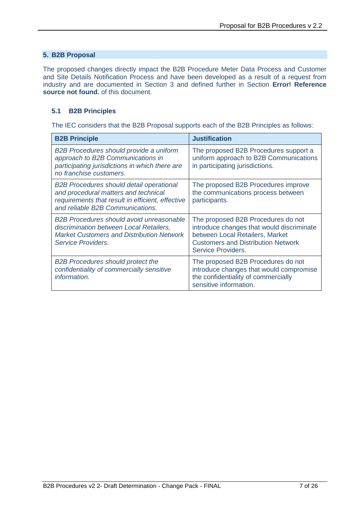#### **5. B2B Proposal**

The proposed changes directly impact the B2B Procedure Meter Data Process and Customer and Site Details Notification Process and have been developed as a result of a request from industry and are documented in Section 3 and defined further in Section **Error! Reference source not found.** of this document.

#### **5.1 B2B Principles**

The IEC considers that the B2B Proposal supports each of the B2B Principles as follows:

| <b>B2B Principle</b>                                                                                                                                                            | <b>Justification</b>                                                                                                                                                                  |
|---------------------------------------------------------------------------------------------------------------------------------------------------------------------------------|---------------------------------------------------------------------------------------------------------------------------------------------------------------------------------------|
| B2B Procedures should provide a uniform<br>approach to B2B Communications in<br>participating jurisdictions in which there are<br>no franchise customers.                       | The proposed B2B Procedures support a<br>uniform approach to B2B Communications<br>in participating jurisdictions.                                                                    |
| <b>B2B Procedures should detail operational</b><br>and procedural matters and technical<br>requirements that result in efficient, effective<br>and reliable B2B Communications. | The proposed B2B Procedures improve<br>the communications process between<br>participants.                                                                                            |
| B2B Procedures should avoid unreasonable<br>discrimination between Local Retailers,<br><b>Market Customers and Distribution Network</b><br>Service Providers.                   | The proposed B2B Procedures do not<br>introduce changes that would discriminate<br>between Local Retailers, Market<br><b>Customers and Distribution Network</b><br>Service Providers. |
| <b>B2B Procedures should protect the</b><br>confidentiality of commercially sensitive<br>information.                                                                           | The proposed B2B Procedures do not<br>introduce changes that would compromise<br>the confidentiality of commercially<br>sensitive information.                                        |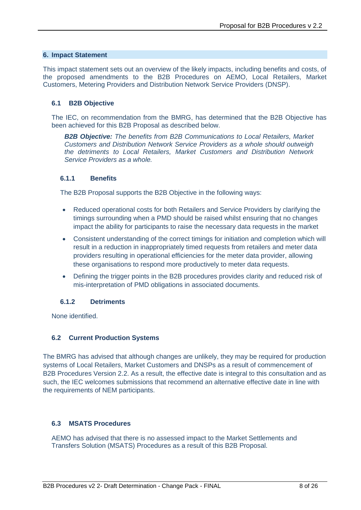#### **6. Impact Statement**

This impact statement sets out an overview of the likely impacts, including benefits and costs, of the proposed amendments to the B2B Procedures on AEMO, Local Retailers, Market Customers, Metering Providers and Distribution Network Service Providers (DNSP).

#### **6.1 B2B Objective**

The IEC, on recommendation from the BMRG, has determined that the B2B Objective has been achieved for this B2B Proposal as described below.

*B2B Objective: The benefits from B2B Communications to Local Retailers, Market Customers and Distribution Network Service Providers as a whole should outweigh the detriments to Local Retailers, Market Customers and Distribution Network Service Providers as a whole.*

#### **6.1.1 Benefits**

The B2B Proposal supports the B2B Objective in the following ways:

- Reduced operational costs for both Retailers and Service Providers by clarifying the timings surrounding when a PMD should be raised whilst ensuring that no changes impact the ability for participants to raise the necessary data requests in the market
- Consistent understanding of the correct timings for initiation and completion which will result in a reduction in inappropriately timed requests from retailers and meter data providers resulting in operational efficiencies for the meter data provider, allowing these organisations to respond more productively to meter data requests.
- Defining the trigger points in the B2B procedures provides clarity and reduced risk of mis-interpretation of PMD obligations in associated documents.

#### **6.1.2 Detriments**

None identified.

#### **6.2 Current Production Systems**

The BMRG has advised that although changes are unlikely, they may be required for production systems of Local Retailers, Market Customers and DNSPs as a result of commencement of B2B Procedures Version 2.2. As a result, the effective date is integral to this consultation and as such, the IEC welcomes submissions that recommend an alternative effective date in line with the requirements of NEM participants.

#### **6.3 MSATS Procedures**

AEMO has advised that there is no assessed impact to the Market Settlements and Transfers Solution (MSATS) Procedures as a result of this B2B Proposal.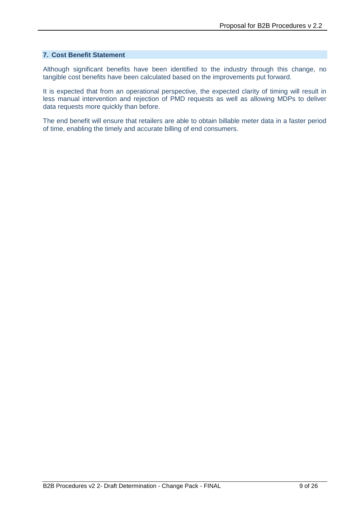#### **7. Cost Benefit Statement**

Although significant benefits have been identified to the industry through this change, no tangible cost benefits have been calculated based on the improvements put forward.

It is expected that from an operational perspective, the expected clarity of timing will result in less manual intervention and rejection of PMD requests as well as allowing MDPs to deliver data requests more quickly than before.

The end benefit will ensure that retailers are able to obtain billable meter data in a faster period of time, enabling the timely and accurate billing of end consumers.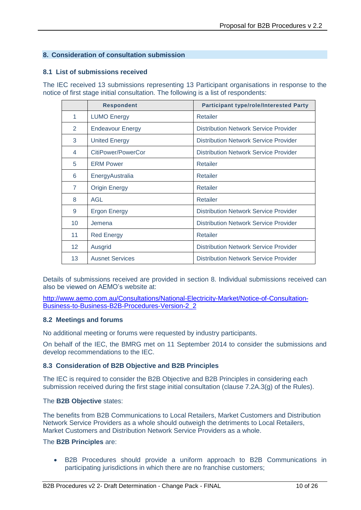#### **8. Consideration of consultation submission**

#### **8.1 List of submissions received**

The IEC received 13 submissions representing 13 Participant organisations in response to the notice of first stage initial consultation. The following is a list of respondents:

|                   | <b>Respondent</b>       | <b>Participant type/role/Interested Party</b> |
|-------------------|-------------------------|-----------------------------------------------|
| 1                 | <b>LUMO Energy</b>      | Retailer                                      |
| 2                 | <b>Endeavour Energy</b> | Distribution Network Service Provider         |
| 3                 | <b>United Energy</b>    | Distribution Network Service Provider         |
| 4                 | CitiPower/PowerCor      | Distribution Network Service Provider         |
| 5                 | <b>ERM Power</b>        | Retailer                                      |
| 6                 | EnergyAustralia         | Retailer                                      |
| $\overline{7}$    | <b>Origin Energy</b>    | Retailer                                      |
| 8                 | <b>AGL</b>              | Retailer                                      |
| 9                 | <b>Ergon Energy</b>     | <b>Distribution Network Service Provider</b>  |
| 10                | Jemena                  | Distribution Network Service Provider         |
| 11                | <b>Red Energy</b>       | Retailer                                      |
| $12 \overline{ }$ | Ausgrid                 | Distribution Network Service Provider         |
| 13                | <b>Ausnet Services</b>  | Distribution Network Service Provider         |

Details of submissions received are provided in section 8. Individual submissions received can also be viewed on AEMO's website at:

[http://www.aemo.com.au/Consultations/National-Electricity-Market/Notice-of-Consultation-](http://www.aemo.com.au/Consultations/National-Electricity-Market/Notice-of-Consultation-Business-to-Business-B2B-Procedures-Version-2_2)[Business-to-Business-B2B-Procedures-Version-2\\_2](http://www.aemo.com.au/Consultations/National-Electricity-Market/Notice-of-Consultation-Business-to-Business-B2B-Procedures-Version-2_2)

#### **8.2 Meetings and forums**

No additional meeting or forums were requested by industry participants.

On behalf of the IEC, the BMRG met on 11 September 2014 to consider the submissions and develop recommendations to the IEC.

#### **8.3 Consideration of B2B Objective and B2B Principles**

The IEC is required to consider the B2B Objective and B2B Principles in considering each submission received during the first stage initial consultation (clause 7.2A.3(g) of the Rules).

#### The **B2B Objective** states:

The benefits from B2B Communications to Local Retailers, Market Customers and Distribution Network Service Providers as a whole should outweigh the detriments to Local Retailers, Market Customers and Distribution Network Service Providers as a whole.

#### The **B2B Principles** are:

 B2B Procedures should provide a uniform approach to B2B Communications in participating jurisdictions in which there are no franchise customers;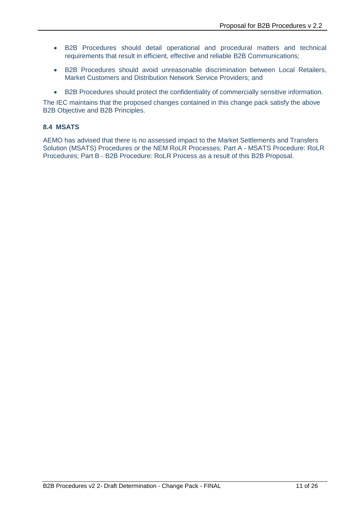- B2B Procedures should detail operational and procedural matters and technical requirements that result in efficient, effective and reliable B2B Communications;
- B2B Procedures should avoid unreasonable discrimination between Local Retailers, Market Customers and Distribution Network Service Providers; and
- B2B Procedures should protect the confidentiality of commercially sensitive information.

The IEC maintains that the proposed changes contained in this change pack satisfy the above B2B Objective and B2B Principles.

#### **8.4 MSATS**

AEMO has advised that there is no assessed impact to the Market Settlements and Transfers Solution (MSATS) Procedures or the NEM RoLR Processes; Part A - MSATS Procedure: RoLR Procedures; Part B - B2B Procedure: RoLR Process as a result of this B2B Proposal.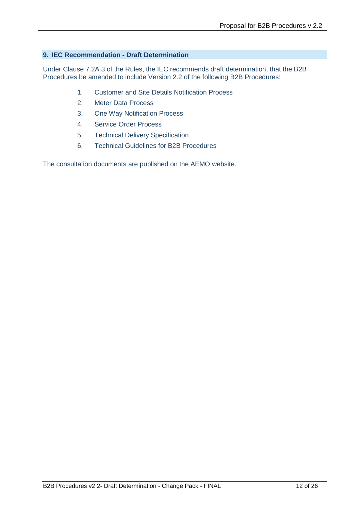#### **9. IEC Recommendation - Draft Determination**

Under Clause 7.2A.3 of the Rules, the IEC recommends draft determination, that the B2B Procedures be amended to include Version 2.2 of the following B2B Procedures:

- 1. Customer and Site Details Notification Process
- 2. Meter Data Process
- 3. One Way Notification Process
- 4. Service Order Process
- 5. Technical Delivery Specification
- 6. Technical Guidelines for B2B Procedures

The consultation documents are published on the AEMO website.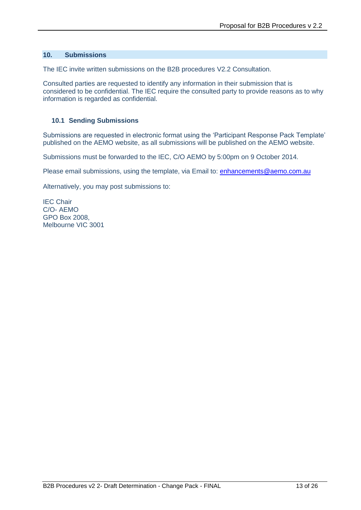#### **10. Submissions**

The IEC invite written submissions on the B2B procedures V2.2 Consultation.

Consulted parties are requested to identify any information in their submission that is considered to be confidential. The IEC require the consulted party to provide reasons as to why information is regarded as confidential.

#### **10.1 Sending Submissions**

Submissions are requested in electronic format using the 'Participant Response Pack Template' published on the AEMO website, as all submissions will be published on the AEMO website.

Submissions must be forwarded to the IEC, C/O AEMO by 5:00pm on 9 October 2014.

Please email submissions, using the template, via Email to: [enhancements@aemo.com.au](mailto:enhancements@aemo.com.au)

Alternatively, you may post submissions to:

IEC Chair C/O- AEMO GPO Box 2008, Melbourne VIC 3001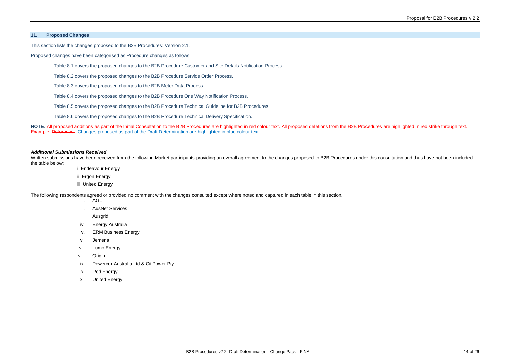#### **11. Proposed Changes**

This section lists the changes proposed to the B2B Procedures: Version 2.1.

Proposed changes have been categorised as Procedure changes as follows;

Table 8.1 covers the proposed changes to the B2B Procedure Customer and Site Details Notification Process.

**NOTE:** All proposed additions as part of the Initial Consultation to the B2B Procedures are highlighted in red colour text. All proposed deletions from the B2B Procedures are highlighted in red strike through text. Example: Reference. Changes proposed as part of the Draft Determination are highlighted in blue colour text.

Table 8.2 covers the proposed changes to the B2B Procedure Service Order Process.

Table 8.3 covers the proposed changes to the B2B Meter Data Process.

Table 8.4 covers the proposed changes to the B2B Procedure One Way Notification Process.

Table 8.5 covers the proposed changes to the B2B Procedure Technical Guideline for B2B Procedures.

- i. Endeavour Energy
- ii. Ergon Energy
- iii. United Energy

Table 8.6 covers the proposed changes to the B2B Procedure Technical Delivery Specification.

#### *Additional Submissions Received*

Written submissions have been received from the following Market participants providing an overall agreement to the changes proposed to B2B Procedures under this consultation and thus have not been included the table below:

The following respondents agreed or provided no comment with the changes consulted except where noted and captured in each table in this section.

- i. AGL
- ii. AusNet Services
- iii. Ausgrid
- iv. Energy Australia
- v. ERM Business Energy
- vi. Jemena
- vii. Lumo Energy
- viii. Origin
- ix. Powercor Australia Ltd & CitiPower Pty
- x. Red Energy
- xi. United Energy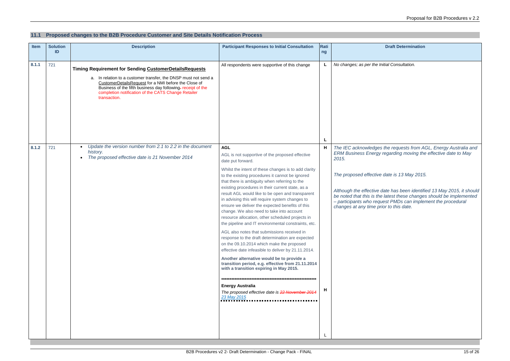#### **11.1 Proposed changes to the B2B Procedure Customer and Site Details Notification Process**

#### **Draft Determination**

*No changes; as per the Initial Consultation.*

the requests from AGL, Energy Australia and *ERM Business Energy regarding moving the effective date to May* 

*Although the effective date has been identified 13 May 2015, it should be noted that this is the latest these changes should be implemented – participants who request PMDs can implement the procedural <i>changes date. changes at a* 

| Item  | <b>Solution</b><br>ID | <b>Description</b><br><b>Participant Responses to Initial Consultation</b>                                                                                                                                                                                                                                                                                                |                                                                                                                                                                                                                                                                                                                                                                                                                                                                                                                                                                                                                                                                                                                                                                                                                                                                                                                                                                                                                                                                       |             |                                                                                                                                                                                                                  |
|-------|-----------------------|---------------------------------------------------------------------------------------------------------------------------------------------------------------------------------------------------------------------------------------------------------------------------------------------------------------------------------------------------------------------------|-----------------------------------------------------------------------------------------------------------------------------------------------------------------------------------------------------------------------------------------------------------------------------------------------------------------------------------------------------------------------------------------------------------------------------------------------------------------------------------------------------------------------------------------------------------------------------------------------------------------------------------------------------------------------------------------------------------------------------------------------------------------------------------------------------------------------------------------------------------------------------------------------------------------------------------------------------------------------------------------------------------------------------------------------------------------------|-------------|------------------------------------------------------------------------------------------------------------------------------------------------------------------------------------------------------------------|
| 8.1.1 | 721                   | All respondents were supportive of this change<br>Timing Requirement for Sending CustomerDetailsRequests<br>a. In relation to a customer transfer, the DNSP must not send a<br>CustomerDetailsRequest for a NMI before the Close of<br>Business of the fifth business day following-receipt of the<br>completion notification of the CATS Change Retailer<br>transaction. |                                                                                                                                                                                                                                                                                                                                                                                                                                                                                                                                                                                                                                                                                                                                                                                                                                                                                                                                                                                                                                                                       | L           | No changes; as per the Init                                                                                                                                                                                      |
| 8.1.2 | 721                   | Update the version number from 2.1 to 2.2 in the document<br>history.<br>The proposed effective date is 21 November 2014                                                                                                                                                                                                                                                  | <b>AGL</b><br>AGL is not supportive of the proposed effective<br>date put forward.<br>Whilst the intent of these changes is to add clarity<br>to the existing procedures it cannot be ignored<br>that there is ambiguity when referring to the<br>existing procedures in their current state, as a<br>result AGL would like to be open and transparent<br>in advising this will require system changes to<br>ensure we deliver the expected benefits of this<br>change. We also need to take into account<br>resource allocation, other scheduled projects in<br>the pipeline and IT environmental constraints, etc.<br>AGL also notes that submissions received in<br>response to the draft determination are expected<br>on the 09.10.2014 which make the proposed<br>effective date infeasible to deliver by 21.11.2014.<br>Another alternative would be to provide a<br>transition period, e.g. effective from 21.11.2014<br>with a transition expiring in May 2015.<br><b>Energy Australia</b><br>The proposed effective date is 22 November 2014<br>23 May 2015 | L<br>Н<br>H | The IEC acknowledges t<br><b>ERM Business Energy re</b><br>2015.<br>The proposed effective a<br>Although the effective da<br>be noted that this is the I<br>- participants who reque<br>changes at any time prio |

*The proposed effective date is 13 May 2015.*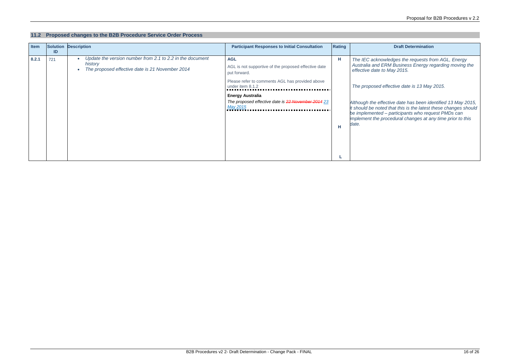### **11.2 Proposed changes to the B2B Procedure Service Order Process**

*The IEC acknowledges the requests from AGL, Energy Australia and ERM Business Energy regarding moving the May 2015.* 

| Solution<br>ID | <b>Description</b>                                                                                                      | <b>Participant Responses to Initial Consultation</b>                                      | Rating |                                                                                           |
|----------------|-------------------------------------------------------------------------------------------------------------------------|-------------------------------------------------------------------------------------------|--------|-------------------------------------------------------------------------------------------|
| 721            | Update the version number from 2.1 to 2.2 in the document<br>history<br>The proposed effective date is 21 November 2014 | <b>AGL</b><br>AGL is not supportive of the proposed effective date<br>put forward.        | H      | The IEC acknow<br><b>Australia and EF</b><br>effective date to                            |
|                |                                                                                                                         | Please refer to comments AGL has provided above<br>under item 8.1.2                       |        | The proposed ef                                                                           |
|                |                                                                                                                         | <b>Energy Australia</b><br>The proposed effective date is 22 November 2014 23<br>May 2015 | н      | Although the effed<br>it should be noted<br>be implemented-<br>implement the pro<br>date. |
|                |                                                                                                                         |                                                                                           |        |                                                                                           |

*The proposed effective date is 13 May 2015.* 

*Although the effective date has been identified 13 May 2015, it should be noted that this is the latest these changes should be implemented – participants who request PMDs can implement the procedural changes at any time prior to this*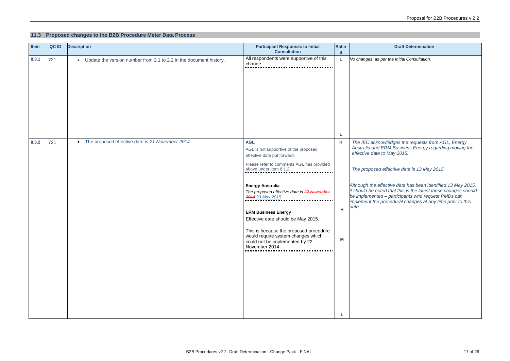### **11.3 Proposed changes to the B2B Procedure Meter Data Process**

#### **Draft Determination**

*No changes; as per the Initial Consultation.*

|       |     |                                                                                 | <b>Consultation</b>                                                                                                                                                                                                                                                                                                                                                                                                                                            | $\boldsymbol{g}$ |                                                                                                                                                                       |
|-------|-----|---------------------------------------------------------------------------------|----------------------------------------------------------------------------------------------------------------------------------------------------------------------------------------------------------------------------------------------------------------------------------------------------------------------------------------------------------------------------------------------------------------------------------------------------------------|------------------|-----------------------------------------------------------------------------------------------------------------------------------------------------------------------|
| 8.3.1 | 721 | Update the version number from 2.1 to 2.2 in the document history.<br>$\bullet$ | All respondents were supportive of this<br>change                                                                                                                                                                                                                                                                                                                                                                                                              | L                | No changes; as pe                                                                                                                                                     |
| 8.3.2 | 721 | The proposed effective date is 21 November 2014<br>$\bullet$                    | <b>AGL</b><br>AGL is not supportive of the proposed<br>effective date put forward.<br>Please refer to comments AGL has provided<br>above under item 8.1.2<br><b>Energy Australia</b><br>The proposed effective date is 22 November<br>2014 23 May 2015<br><b>ERM Business Energy</b><br>Effective date should be May 2015.<br>This is because the proposed procedure<br>would require system changes which<br>could not be implemented by 22<br>November 2014. | L<br>Н<br>Н<br>M | The IEC acknow<br>Australia and El<br>effective date to<br>The proposed e<br>Although the effe<br>it should be noted<br>be implemented-<br>implement the pro<br>date. |

*The IEC acknowledges the requests from AGL, Energy Australia and ERM Business Energy regarding moving the effective date to May 2015.* 

*The proposed effective date is 13 May 2015.* 

*Although the effective date has been identified 13 May 2015, it should be noted that this is the latest these changes should be implemented – participants who request PMDs can implement the procedural changes at any time prior to this*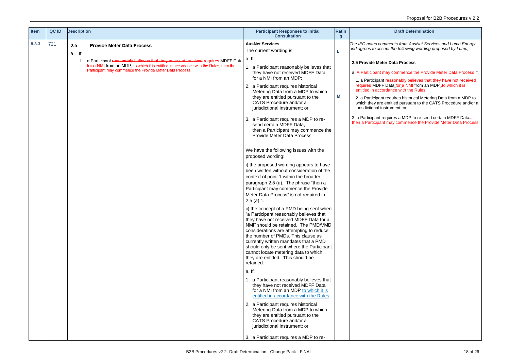| <b>Item</b> | QC ID | <b>Description</b>                                                                                                                                                                                                                                                                                | <b>Participant Responses to Initial</b><br><b>Consultation</b>                                                                                                                                                                                                                                                                                                                                                                                                                                                                                                                                                                                                                                                                                                                                                                                                                                                                                                                                                                                                                                                                                                                                                                                                                                                                                                                                                                                                                                                                                                                                                                                                                        | <b>Ratin</b><br>$\boldsymbol{g}$ |                                                                                                                                                                                                                                                                   |
|-------------|-------|---------------------------------------------------------------------------------------------------------------------------------------------------------------------------------------------------------------------------------------------------------------------------------------------------|---------------------------------------------------------------------------------------------------------------------------------------------------------------------------------------------------------------------------------------------------------------------------------------------------------------------------------------------------------------------------------------------------------------------------------------------------------------------------------------------------------------------------------------------------------------------------------------------------------------------------------------------------------------------------------------------------------------------------------------------------------------------------------------------------------------------------------------------------------------------------------------------------------------------------------------------------------------------------------------------------------------------------------------------------------------------------------------------------------------------------------------------------------------------------------------------------------------------------------------------------------------------------------------------------------------------------------------------------------------------------------------------------------------------------------------------------------------------------------------------------------------------------------------------------------------------------------------------------------------------------------------------------------------------------------------|----------------------------------|-------------------------------------------------------------------------------------------------------------------------------------------------------------------------------------------------------------------------------------------------------------------|
| 8.3.3       | 721   | 2.5<br><b>Provide Meter Data Process</b><br>a. If:<br>a Participant reasonably believes that they have not received requires MDFF Data<br>1.<br>for a NMI from an MDP; to which it is entitled in accordance with the Rules, then the<br>Participant may commence the Provide Meter Data Process. | <b>AusNet Services</b><br>The current wording is:<br>a. If:<br>a Participant reasonably believes that<br>they have not received MDFF Data<br>for a NMI from an MDP:<br>2. a Participant requires historical<br>Metering Data from a MDP to which<br>they are entitled pursuant to the<br>CATS Procedure and/or a<br>jurisdictional instrument; or<br>3. a Participant requires a MDP to re-<br>send certain MDFF Data,<br>then a Participant may commence the<br>Provide Meter Data Process.<br>We have the following issues with the<br>proposed wording:<br>i) the proposed wording appears to have<br>been written without consideration of the<br>context of point 1 within the broader<br>paragraph 2.5 (a). The phrase "then a<br>Participant may commence the Provide<br>Meter Data Process" is not required in<br>$2.5$ (a) 1.<br>ii) the concept of a PMD being sent when<br>"a Participant reasonably believes that<br>they have not received MDFF Data for a<br>NMI" should be retained. The PMD/VMD<br>considerations are attempting to reduce<br>the number of PMDs. This clause as<br>currently written mandates that a PMD<br>should only be sent where the Participant<br>cannot locate metering data to which<br>they are entitled. This should be<br>retained.<br>a. If:<br>1. a Participant reasonably believes that<br>they have not received MDFF Data<br>for a NMI from an MDP to which it is<br>entitled in accordance with the Rules;<br>2. a Participant requires historical<br>Metering Data from a MDP to which<br>they are entitled pursuant to the<br>CATS Procedure and/or a<br>jurisdictional instrument; or<br>3. a Participant requires a MDP to re- | M                                | The IEC notes com<br>and agrees to acce<br>2.5 Provide Mete<br>a. A Participant m<br>1. a Participant<br>requires MDFF I<br>entitled in accor<br>2. a Participant<br>which they are $\epsilon$<br>jurisdictional ins<br>3. a Participant re<br>then a Participant |
|             |       |                                                                                                                                                                                                                                                                                                   |                                                                                                                                                                                                                                                                                                                                                                                                                                                                                                                                                                                                                                                                                                                                                                                                                                                                                                                                                                                                                                                                                                                                                                                                                                                                                                                                                                                                                                                                                                                                                                                                                                                                                       |                                  |                                                                                                                                                                                                                                                                   |

2. a Participant requires historical Metering Data from a MDP to which they are entitled pursuant to the CATS Procedure and/or a strument; or

3. a Participant requires a MDP to re-send certain MDFF Data., then a Participant may commence the Provide Meter Data Process

*The IEC notes comments from AusNet Services and Lumo Energy and agrees to accept the following wording proposed by Lumo;*

#### **2.5 Provide Meter Data Process**

ay commence the Provide Meter Data Process if:

1. a Participant reasonably believes that they have not received requires MDFF Data for a NMI from an MDP to which it is rdance with the Rules;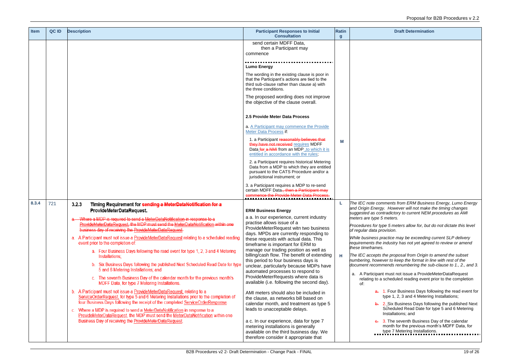*The IEC note comments from ERM Business Energy, Lumo Energy and Origin Energy. However will not make the timing changes suggested as contradictory to current NEM procedures as AMI meters.* 

. Four Business Days following the read event for type 1, 2, 3 and 4 Metering Installations;

| Item  | QC ID | <b>Description</b>                                                                                                                                                                                                                                                                                                                                                                                                                                                                                                                                                                                                                                                                                                                                                                                                                                                                                                                                                                                                                                                                                                                                                                                        | <b>Participant Responses to Initial</b>                                                                                                                                                                                                                                                                                                                                                                                                                                                                                                                                                                                                                                                                                                                                                                                                                                           | <b>Ratin</b>     |                                                                                                                                                                                                                                                                                     |
|-------|-------|-----------------------------------------------------------------------------------------------------------------------------------------------------------------------------------------------------------------------------------------------------------------------------------------------------------------------------------------------------------------------------------------------------------------------------------------------------------------------------------------------------------------------------------------------------------------------------------------------------------------------------------------------------------------------------------------------------------------------------------------------------------------------------------------------------------------------------------------------------------------------------------------------------------------------------------------------------------------------------------------------------------------------------------------------------------------------------------------------------------------------------------------------------------------------------------------------------------|-----------------------------------------------------------------------------------------------------------------------------------------------------------------------------------------------------------------------------------------------------------------------------------------------------------------------------------------------------------------------------------------------------------------------------------------------------------------------------------------------------------------------------------------------------------------------------------------------------------------------------------------------------------------------------------------------------------------------------------------------------------------------------------------------------------------------------------------------------------------------------------|------------------|-------------------------------------------------------------------------------------------------------------------------------------------------------------------------------------------------------------------------------------------------------------------------------------|
|       |       |                                                                                                                                                                                                                                                                                                                                                                                                                                                                                                                                                                                                                                                                                                                                                                                                                                                                                                                                                                                                                                                                                                                                                                                                           | <b>Consultation</b><br>send certain MDFF Data,<br>then a Participant may<br>commence                                                                                                                                                                                                                                                                                                                                                                                                                                                                                                                                                                                                                                                                                                                                                                                              | $\boldsymbol{g}$ |                                                                                                                                                                                                                                                                                     |
|       |       |                                                                                                                                                                                                                                                                                                                                                                                                                                                                                                                                                                                                                                                                                                                                                                                                                                                                                                                                                                                                                                                                                                                                                                                                           | <b>Lumo Energy</b>                                                                                                                                                                                                                                                                                                                                                                                                                                                                                                                                                                                                                                                                                                                                                                                                                                                                |                  |                                                                                                                                                                                                                                                                                     |
|       |       |                                                                                                                                                                                                                                                                                                                                                                                                                                                                                                                                                                                                                                                                                                                                                                                                                                                                                                                                                                                                                                                                                                                                                                                                           | The wording in the existing clause is poor in<br>that the Participant's actions are tied to the<br>third sub-clause rather than clause a) with<br>the three conditions.                                                                                                                                                                                                                                                                                                                                                                                                                                                                                                                                                                                                                                                                                                           |                  |                                                                                                                                                                                                                                                                                     |
|       |       |                                                                                                                                                                                                                                                                                                                                                                                                                                                                                                                                                                                                                                                                                                                                                                                                                                                                                                                                                                                                                                                                                                                                                                                                           | The proposed wording does not improve<br>the objective of the clause overall.                                                                                                                                                                                                                                                                                                                                                                                                                                                                                                                                                                                                                                                                                                                                                                                                     |                  |                                                                                                                                                                                                                                                                                     |
|       |       |                                                                                                                                                                                                                                                                                                                                                                                                                                                                                                                                                                                                                                                                                                                                                                                                                                                                                                                                                                                                                                                                                                                                                                                                           | 2.5 Provide Meter Data Process                                                                                                                                                                                                                                                                                                                                                                                                                                                                                                                                                                                                                                                                                                                                                                                                                                                    |                  |                                                                                                                                                                                                                                                                                     |
|       |       |                                                                                                                                                                                                                                                                                                                                                                                                                                                                                                                                                                                                                                                                                                                                                                                                                                                                                                                                                                                                                                                                                                                                                                                                           | a. A Participant may commence the Provide<br>Meter Data Process if:                                                                                                                                                                                                                                                                                                                                                                                                                                                                                                                                                                                                                                                                                                                                                                                                               |                  |                                                                                                                                                                                                                                                                                     |
|       |       |                                                                                                                                                                                                                                                                                                                                                                                                                                                                                                                                                                                                                                                                                                                                                                                                                                                                                                                                                                                                                                                                                                                                                                                                           | 1. a Participant reasonably believes that<br>they have not received requires MDFF<br>Data for a NMI from an MDP, to which it is<br>entitled in accordance with the rules;                                                                                                                                                                                                                                                                                                                                                                                                                                                                                                                                                                                                                                                                                                         | м                |                                                                                                                                                                                                                                                                                     |
|       |       |                                                                                                                                                                                                                                                                                                                                                                                                                                                                                                                                                                                                                                                                                                                                                                                                                                                                                                                                                                                                                                                                                                                                                                                                           | 2. a Participant requires historical Metering<br>Data from a MDP to which they are entitled<br>pursuant to the CATS Procedure and/or a<br>jurisdictional instrument; or                                                                                                                                                                                                                                                                                                                                                                                                                                                                                                                                                                                                                                                                                                           |                  |                                                                                                                                                                                                                                                                                     |
|       |       |                                                                                                                                                                                                                                                                                                                                                                                                                                                                                                                                                                                                                                                                                                                                                                                                                                                                                                                                                                                                                                                                                                                                                                                                           | 3. a Participant requires a MDP to re-send<br>certain MDFF Data., then a Participant may<br>commence the Provide Meter Data Process                                                                                                                                                                                                                                                                                                                                                                                                                                                                                                                                                                                                                                                                                                                                               |                  |                                                                                                                                                                                                                                                                                     |
| 8.3.4 | 721   | 3.2.3<br>Timing Requirement for sending a MeterDataNotification for a<br>ProvideMeterDataRequest.                                                                                                                                                                                                                                                                                                                                                                                                                                                                                                                                                                                                                                                                                                                                                                                                                                                                                                                                                                                                                                                                                                         | <b>ERM Business Energy</b>                                                                                                                                                                                                                                                                                                                                                                                                                                                                                                                                                                                                                                                                                                                                                                                                                                                        | L                | The IEC note com<br>and Origin Energy                                                                                                                                                                                                                                               |
|       |       | Where a MDP is required to send a MeterDataNotification in response to a<br>ProvideMeterDataRequest, the MDP must send the MeterDataNotification within one<br>business day of receiving the ProvideMeterDataRequest.<br>a. A Participant must not issue a ProvideMeterDataRequest relating to a scheduled reading<br>event prior to the completion of:<br>a. Four Business Days following the read event for type 1, 2, 3 and 4 Metering<br>Installations;<br>b. Six Business Days following the published Next Scheduled Read Date for type<br>5 and 6 Metering Installations; and<br>c. The seventh Business Day of the calendar month for the previous month's<br>MDFF Data, for type 7 Metering Installations.<br>b. A Participant must not issue a ProvideMeterDataRequest, relating to a<br>ServiceOrderRequest, for type 5 and 6 Metering Installations prior to the completion of<br>four Business Days following the receipt of the completed ServiceOrderResponse.<br>c. Where a MDP is required to send a MeterDataNotification in response to a<br>ProvideMeterDataRequest, the MDP must send the MeterDataNotification within one<br>Business Day of receiving the ProvideMeterDataRequest. | a a. In our experience, current industry<br>practise allows issue of a<br>ProvideMeterRequest witn two business<br>days. MPDs are currently responding to<br>these requests with actual data. This<br>timeframe is important for ERM to<br>manage our trading position as well as<br>billing/cash flow. The benefit of extending<br>this period to four business days is<br>unclear, particularly because MDPs have<br>automated processes to respond to<br>ProvideMeterRequests where data is<br>available (i.e. following the second day).<br>AMI meters should also be included in<br>the clause, as networks bill based on<br>calendar month, and treatment as type 5<br>leads to unacceptable delays.<br>a c. In our experience, data for type 7<br>metering installations is generally<br>available on the third business day. We<br>therefore consider it appropriate that | н                | suggested as cont<br>meters are type 5<br>Procedures for typ<br>of regular data pro<br>While business pra<br>requirements the i<br>these timeframes.<br>The IEC accepts ti<br>numbering, howev<br>document recomm<br>a. A Participant<br>relating to a s<br>of:<br>b.<br>$\theta$ . |

2. Six Business Days following the published Next Scheduled Read Date for type 5 and 6 Metering Installations; and

3. The seventh Business Day of the calendar month for the previous month's MDFF Data, for type 7 Metering Installations.

*Procedures for type 5 meters allow for, but do not dictate this level of regular data provision.*

*While business practice may be exceeding current SLP delivery requirements the industry has not yet agreed to review or amend* 

*The IEC accepts the proposal from Origin to amend the subset numbering, however to keep the format in line with rest of the document recommends renumbering the sub-clause to 1., 2., and 3.*

t must not issue a ProvideMeterDataRequest scheduled reading event prior to the completion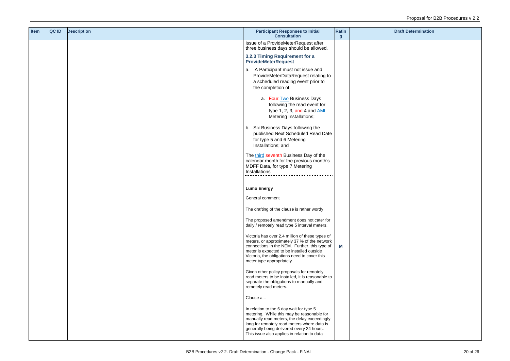| <b>Item</b> | QC ID | <b>Description</b> | <b>Participant Responses to Initial</b><br><b>Consultation</b>                                                                                                                                                                                                                   | <b>Ratin</b><br>$\mathbf{g}$ |  |
|-------------|-------|--------------------|----------------------------------------------------------------------------------------------------------------------------------------------------------------------------------------------------------------------------------------------------------------------------------|------------------------------|--|
|             |       |                    | issue of a ProvideMeterRequest after<br>three business days should be allowed.                                                                                                                                                                                                   |                              |  |
|             |       |                    | 3.2.3 Timing Requirement for a<br><b>ProvideMeterRequest</b>                                                                                                                                                                                                                     |                              |  |
|             |       |                    | a. A Participant must not issue and<br>ProvideMeterDataRequest relating to<br>a scheduled reading event prior to<br>the completion of:                                                                                                                                           |                              |  |
|             |       |                    | a. Four Two Business Days<br>following the read event for<br>type 1, 2, $31$ and 4 and $\frac{AMI}{A}$<br>Metering Installations;                                                                                                                                                |                              |  |
|             |       |                    | b. Six Business Days following the<br>published Next Scheduled Read Date<br>for type 5 and 6 Metering<br>Installations; and                                                                                                                                                      |                              |  |
|             |       |                    | The third seventh Business Day of the<br>calendar month for the previous month's<br>MDFF Data, for type 7 Metering<br>Installations                                                                                                                                              |                              |  |
|             |       |                    | <b>Lumo Energy</b>                                                                                                                                                                                                                                                               |                              |  |
|             |       |                    | General comment                                                                                                                                                                                                                                                                  |                              |  |
|             |       |                    | The drafting of the clause is rather wordy                                                                                                                                                                                                                                       |                              |  |
|             |       |                    | The proposed amendment does not cater for<br>daily / remotely read type 5 interval meters.                                                                                                                                                                                       |                              |  |
|             |       |                    | Victoria has over 2.4 million of these types of<br>meters, or approximately 37 % of the network<br>connections in the NEM. Further, this type of<br>meter is expected to be installed outside<br>Victoria, the obligations need to cover this<br>meter type appropriately.       | M                            |  |
|             |       |                    | Given other policy proposals for remotely<br>read meters to be installed, it is reasonable to<br>separate the obligations to manually and<br>remotely read meters.                                                                                                               |                              |  |
|             |       |                    | Clause a -                                                                                                                                                                                                                                                                       |                              |  |
|             |       |                    | In relation to the 6 day wait for type 5<br>metering. While this may be reasonable for<br>manually read meters, the delay exceedingly<br>long for remotely read meters where data is<br>generally being delivered every 24 hours.<br>This issue also applies in relation to data |                              |  |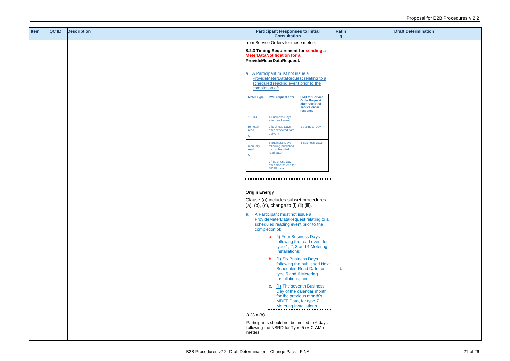| <b>Item</b> | QC ID | <b>Description</b> |                                       | <b>Participant Responses to Initial</b><br><b>Consultation</b>                                                    |                                                                                                 |                  |  |
|-------------|-------|--------------------|---------------------------------------|-------------------------------------------------------------------------------------------------------------------|-------------------------------------------------------------------------------------------------|------------------|--|
|             |       |                    | from Service Orders for these meters. |                                                                                                                   |                                                                                                 | $\boldsymbol{g}$ |  |
|             |       |                    |                                       | 3.2.3 Timing Requirement for sending a<br><b>MeterDataNotification for a</b><br>ProvideMeterDataRequest.          |                                                                                                 |                  |  |
|             |       |                    | completion of:                        | a A Participant must not issue a<br>ProvideMeterDataRequest relating to a<br>scheduled reading event prior to the |                                                                                                 |                  |  |
|             |       |                    | <b>Meter Type</b>                     | <b>PMD request after</b>                                                                                          | <b>PMD for Service</b><br><b>Order Request</b><br>after receipt of<br>service order<br>response |                  |  |
|             |       |                    | 1,2,3,4                               | 4 Business Days<br>after read event                                                                               |                                                                                                 |                  |  |
|             |       |                    | remotely<br>read<br>5                 | 2 business Days<br>after expected data<br>delivery                                                                | 1 business Day                                                                                  |                  |  |
|             |       |                    | manually<br>read<br>5,6               | <b>6 Business Days</b><br>following published<br>next scheduled<br>read date                                      | 4 Business Days                                                                                 |                  |  |
|             |       |                    |                                       | 7 <sup>th</sup> Business Day<br>after months end for<br>MDFF data                                                 |                                                                                                 |                  |  |
|             |       |                    |                                       |                                                                                                                   |                                                                                                 |                  |  |
|             |       |                    | <b>Origin Energy</b>                  |                                                                                                                   |                                                                                                 |                  |  |
|             |       |                    |                                       | Clause (a) includes subset procedures<br>$(a), (b), (c), change to (i), (ii), (iii).$                             |                                                                                                 |                  |  |
|             |       |                    | a.                                    | A Participant must not issue a<br>scheduled reading event prior to the<br>completion of:                          | ProvideMeterDataRequest relating to a                                                           |                  |  |
|             |       |                    |                                       | a. (i) Four Business Days<br>Installations;                                                                       | following the read event for<br>type 1, 2, 3 and 4 Metering                                     |                  |  |
|             |       |                    |                                       | b. (ii) Six Business Days<br>type 5 and 6 Metering<br>Installations; and                                          | following the published Next<br><b>Scheduled Read Date for</b>                                  | L                |  |
|             |       |                    |                                       | <b>e.</b> (ii) The seventh Business<br>MDFF Data, for type 7<br>Metering Installations.                           | Day of the calendar month<br>for the previous month's                                           |                  |  |
|             |       |                    | 3.23a(b)<br>meters.                   | following the NSRD for Type 5 (VIC AMI)                                                                           | Participants should not be limited to 6 days                                                    |                  |  |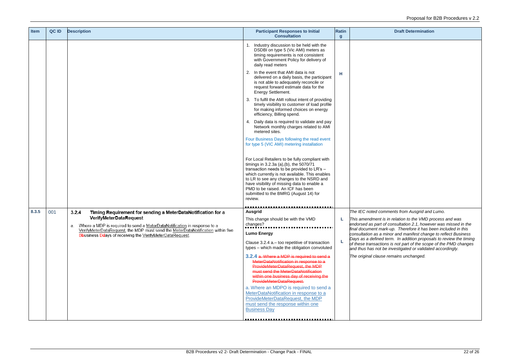| <b>Item</b> | QC ID | <b>Description</b>                                                                                                                                                | <b>Participant Responses to Initial</b><br><b>Consultation</b>                                                                                                                                                                                                                                                                                                                | <b>Ratin</b><br>$\mathbf{g}$ |                                                                |
|-------------|-------|-------------------------------------------------------------------------------------------------------------------------------------------------------------------|-------------------------------------------------------------------------------------------------------------------------------------------------------------------------------------------------------------------------------------------------------------------------------------------------------------------------------------------------------------------------------|------------------------------|----------------------------------------------------------------|
|             |       |                                                                                                                                                                   | 1. Industry discussion to be held with the<br>DSDBI on type 5 (Vic AMI) meters as<br>timing requirements is not consistent<br>with Government Policy for delivery of<br>daily read meters                                                                                                                                                                                     |                              |                                                                |
|             |       |                                                                                                                                                                   | In the event that AMI data is not<br>2.<br>delivered on a daily basis, the participant<br>is not able to adequately reconcile or<br>request forward estimate data for the<br>Energy Settlement.                                                                                                                                                                               | н                            |                                                                |
|             |       |                                                                                                                                                                   | To fulfil the AMI rollout intent of providing<br>3.<br>timely visibility to customer of load profile<br>for making informed choices on energy<br>efficiency, Billing spend.                                                                                                                                                                                                   |                              |                                                                |
|             |       |                                                                                                                                                                   | Daily data is required to validate and pay<br>4.<br>Network monthly charges related to AMI<br>metered sites.                                                                                                                                                                                                                                                                  |                              |                                                                |
|             |       |                                                                                                                                                                   | Four Business Days following the read event<br>for type 5 (VIC AMI) metering installation                                                                                                                                                                                                                                                                                     |                              |                                                                |
|             |       |                                                                                                                                                                   | For Local Retailers to be fully compliant with<br>timings in 3.2.3a (a), (b), the 5070/71<br>transaction needs to be provided to LR's -<br>which currently is not available. This enables<br>to LR to see any changes to the NSRD and<br>have visibility of missing data to enable a<br>PMD to be raised. An ICF has been<br>submitted to the BMRG (August 14) for<br>review. |                              |                                                                |
| 8.3.5       | 001   |                                                                                                                                                                   | <b>Ausgrid</b>                                                                                                                                                                                                                                                                                                                                                                |                              | The IEC noted col                                              |
|             |       | 3.2.4<br>Timing Requirement for sending a MeterDataNotification for a<br>VerifyMeterDataRequest                                                                   | This change should be with the VMD                                                                                                                                                                                                                                                                                                                                            |                              | This amendment i                                               |
|             |       | Where a MDP is required to send a MeterDataNotification in response to a<br>a.<br>VerifyMeterDataRequest, the MDP must send the MeterDataNotification within five | changes?                                                                                                                                                                                                                                                                                                                                                                      |                              | endorsed as part<br>final document ma                          |
|             |       | Bbusiness Ddays of receiving the VerifyMeterDataRequest.                                                                                                          | <b>Lumo Energy</b>                                                                                                                                                                                                                                                                                                                                                            |                              | consultation as a                                              |
|             |       |                                                                                                                                                                   | Clause 3.2.4 a. - too repetitive of transaction<br>types - which made the obligation convoluted                                                                                                                                                                                                                                                                               | L                            | Days as a defined<br>of these transactic<br>and thus has not b |
|             |       |                                                                                                                                                                   | 3.2.4 a. Where a MDP is required to send a<br>MeterDataNotification in response to a<br>ProvideMeterDataRequest, the MDP<br>must send the MeterDataNotification<br>within one business day of receiving the<br>ProvideMeterDataRequest.                                                                                                                                       |                              | The original claus                                             |
|             |       |                                                                                                                                                                   | a. Where an MDPO is required to send a<br>MeterDataNotification in response to a<br>ProvideMeterDataRequest, the MDP<br>must send the response within one<br><b>Business Day</b>                                                                                                                                                                                              |                              |                                                                |
|             |       |                                                                                                                                                                   |                                                                                                                                                                                                                                                                                                                                                                               |                              |                                                                |

*is in relation to the VMD process and was endorsed as part of consultation 2.1, however was missed in the final document mark-up. Therefore it has been included in this consultation as a minor and manifest change to reflect Business*  Days as a defined term. In addition proposals to review the timing *of these transactions is not part of the scope of the PMD changes and thus has not be investigated or validated accordingly.*

*The IEC noted comments from Ausgrid and Lumo.*

*The original clause remains unchanged.*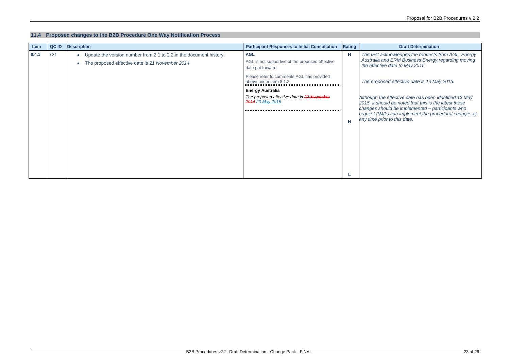#### **11.4 Proposed changes to the B2B Procedure One Way Notification Process**

*The IEC acknowledges the requests from AGL, Energy Australia and ERM Business Energy regarding moving the to May 2015.* 

| <b>Item</b> | QC ID | <b>Description</b>                                                                                                                 | <b>Participant Responses to Initial Consultation</b>                                      | <b>Rating</b> | <b>Draft Determination</b>                                                                                                                                                                        |
|-------------|-------|------------------------------------------------------------------------------------------------------------------------------------|-------------------------------------------------------------------------------------------|---------------|---------------------------------------------------------------------------------------------------------------------------------------------------------------------------------------------------|
| 8.4.1       | 721   | Update the version number from 2.1 to 2.2 in the document history.<br>$\bullet$<br>The proposed effective date is 21 November 2014 | <b>AGL</b><br>AGL is not supportive of the proposed effective<br>date put forward.        | Н             | The IEC acknowledges the requests<br><b>Australia and ERM Business Energy</b><br>the effective date to May 2015.                                                                                  |
|             |       |                                                                                                                                    | Please refer to comments AGL has provided<br>above under item 8.1.2                       |               | The proposed effective date is 13 Ma                                                                                                                                                              |
|             |       |                                                                                                                                    | <b>Energy Australia</b><br>The proposed effective date is 22 November<br>2014 23 May 2015 | $\mathsf H$   | Although the effective date has been i<br>2015, it should be noted that this is the<br>changes should be implemented - pai<br>request PMDs can implement the prod<br>any time prior to this date. |

*The proposed effective date is 13 May 2015.* 

*Although the effective date has been identified 13 May 2015, it should be noted that this is the latest these changes should be implemented – participants who Physican implement the procedural changes at any time prior to this date.*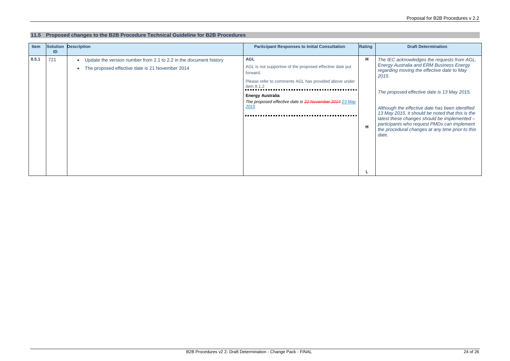#### **11.5 Proposed changes to the B2B Procedure Technical Guideline for B2B Procedures**

| Item  | ID  | <b>Solution Description</b>                                                                                          | <b>Participant Responses to Initial Consultation</b>                                                                                                      | Rating | <b>Draft Determination</b>                                                                                                                                                                                                      |  |
|-------|-----|----------------------------------------------------------------------------------------------------------------------|-----------------------------------------------------------------------------------------------------------------------------------------------------------|--------|---------------------------------------------------------------------------------------------------------------------------------------------------------------------------------------------------------------------------------|--|
| 8.5.1 | 721 | Update the version number from 2.1 to 2.2 in the document history<br>The proposed effective date is 21 November 2014 | <b>AGL</b><br>AGL is not supportive of the proposed effective date put<br>forward.<br>Please refer to comments AGL has provided above under<br>item 8.1.2 | H      | The IEC acknowledges the reque<br><b>Energy Australia and ERM Busin</b><br>regarding moving the effective da<br>2015.                                                                                                           |  |
|       |     |                                                                                                                      | <b>Energy Australia</b><br>The proposed effective date is 22 November 2014 23 May<br>2015                                                                 | H      | The proposed effective date is 13<br>Although the effective date has b<br>13 May 2015, it should be noted<br>latest these changes should be in<br>participants who request PMDs c<br>the procedural changes at any tir<br>date. |  |

*The IEC acknowledges the requests from AGL, Energy Australia and ERM Business Energy regarding moving the effective date to May 2015.* 

*The proposed effective date is 13 May 2015.* 

*Although the effective date has been identified 13 May 2015, it should be noted that this is the latest these changes should be implemented – participants who request PMDs can implement the procedural changes at any time prior to this date.*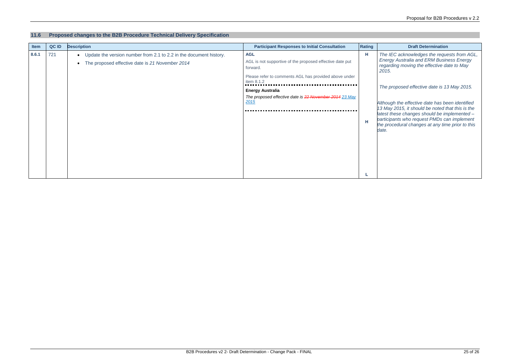#### **11.6 Proposed changes to the B2B Procedure Technical Delivery Specification**

| Item  | QC ID | <b>Description</b>                                                                                                                 | <b>Participant Responses to Initial Consultation</b>                                                                                                                                                                                                   | <b>Rating</b> | <b>Draft Determination</b>                                                                                                                                                                                                                                                                                                                                    |
|-------|-------|------------------------------------------------------------------------------------------------------------------------------------|--------------------------------------------------------------------------------------------------------------------------------------------------------------------------------------------------------------------------------------------------------|---------------|---------------------------------------------------------------------------------------------------------------------------------------------------------------------------------------------------------------------------------------------------------------------------------------------------------------------------------------------------------------|
| 8.6.1 | 721   | Update the version number from 2.1 to 2.2 in the document history.<br>$\bullet$<br>The proposed effective date is 21 November 2014 | <b>AGL</b><br>AGL is not supportive of the proposed effective date put<br>forward.<br>Please refer to comments AGL has provided above under<br>item 8.1.2<br><b>Energy Australia</b><br>The proposed effective date is 22 November 2014 23 May<br>2015 | H<br>H        | The IEC acknowledges the reque<br><b>Energy Australia and ERM Busin</b><br>regarding moving the effective da<br>2015.<br>The proposed effective date is 1.<br>Although the effective date has be<br>13 May 2015, it should be noted to<br>latest these changes should be in<br>participants who request PMDs ca<br>the procedural changes at any tim<br>date. |
|       |       |                                                                                                                                    |                                                                                                                                                                                                                                                        |               |                                                                                                                                                                                                                                                                                                                                                               |

*The IEC acknowledges the requests from AGL, Energy Australia and ERM Business Energy regarding moving the effective date to May 2015.* 

*The proposed effective date is 13 May 2015.* 

*Although the effective date has been identified 13 May 2015, it should be noted that this is the latest these changes should be implemented – participants who request PMDs can implement the procedural changes at any time prior to this*